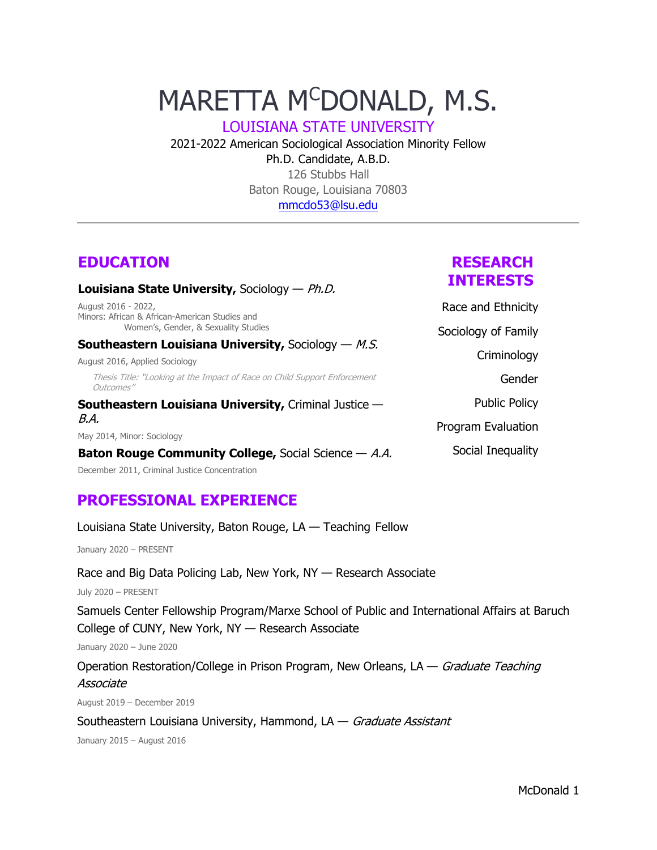# MARETTA M<sup>C</sup>DONALD, M.S.

LOUISIANA STATE UNIVERSITY

2021-2022 American Sociological Association Minority Fellow

## Ph.D. Candidate, A.B.D. 126 Stubbs Hall Baton Rouge, Louisiana 70803 [mmcdo53@lsu.edu](mailto:mmcdo53@lsu.edu)

# **EDUCATION**

### **Louisiana State University,** Sociology — Ph.D.

August 2016 - 2022, Minors: African & African-American Studies and Women's, Gender, & Sexuality Studies

### **Southeastern Louisiana University, Sociology — M.S.**

August 2016, Applied Sociology

Thesis Title: "Looking at the Impact of Race on Child Support Enforcement Outcomes"

**Southeastern Louisiana University,** Criminal Justice — B.A.

May 2014, Minor: Sociology

### **Baton Rouge Community College,** Social Science — A.A.

December 2011, Criminal Justice Concentration

# **PROFESSIONAL EXPERIENCE**

Louisiana State University, Baton Rouge, LA — Teaching Fellow

January 2020 – PRESENT

Race and Big Data Policing Lab, New York, NY — Research Associate

July 2020 – PRESENT

Samuels Center Fellowship Program/Marxe School of Public and International Affairs at Baruch College of CUNY, New York, NY — Research Associate

January 2020 – June 2020

Operation Restoration/College in Prison Program, New Orleans,  $LA - Gradient$  Teaching Associate

August 2019 – December 2019

Southeastern Louisiana University, Hammond,  $LA - Graduate$  Assistant

January 2015 – August 2016

# **RESEARCH INTERESTS**

Race and Ethnicity

Sociology of Family **Criminology** Gender Public Policy

Program Evaluation

Social Inequality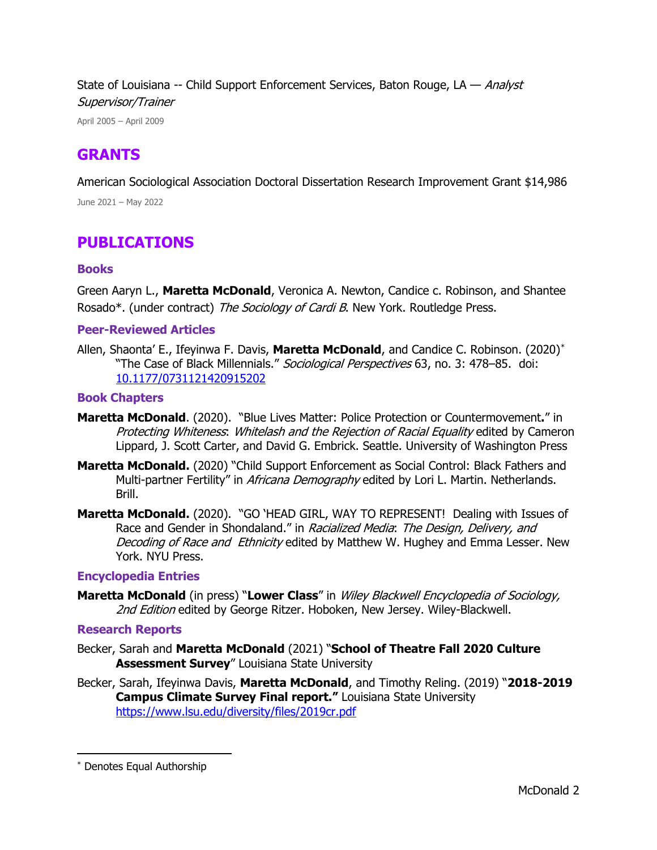State of Louisiana -- Child Support Enforcement Services, Baton Rouge, LA - Analyst Supervisor/Trainer

April 2005 – April 2009

## **GRANTS**

American Sociological Association Doctoral Dissertation Research Improvement Grant \$14,986

June 2021 – May 2022

# **PUBLICATIONS**

## **Books**

Green Aaryn L., **Maretta McDonald**, Veronica A. Newton, Candice c. Robinson, and Shantee Rosado<sup>\*</sup>. (under contract) The Sociology of Cardi B. New York. Routledge Press.

## **Peer-Reviewed Articles**

Allen, Shaonta' E., Ifeyinwa F. Davis, **Maretta McDonald**, and Candice C. Robinson. (2020)[\\*](#page-1-0) "The Case of Black Millennials." Sociological Perspectives 63, no. 3: 478–85. doi: [10.1177/0731121420915202](https://doi.org/10.1177/0731121420915202)

## **Book Chapters**

- **Maretta McDonald**. (2020). "Blue Lives Matter: Police Protection or Countermovement**.**" in Protecting Whiteness: Whitelash and the Rejection of Racial Equality edited by Cameron Lippard, J. Scott Carter, and David G. Embrick. Seattle. University of Washington Press
- **Maretta McDonald.** (2020) "Child Support Enforcement as Social Control: Black Fathers and Multi-partner Fertility" in Africana Demography edited by Lori L. Martin. Netherlands. Brill.
- **Maretta McDonald.** (2020). "GO 'HEAD GIRL, WAY TO REPRESENT! Dealing with Issues of Race and Gender in Shondaland." in Racialized Media: The Design, Delivery, and Decoding of Race and Ethnicity edited by Matthew W. Hughey and Emma Lesser. New York. NYU Press.

### **Encyclopedia Entries**

**Maretta McDonald** (in press) "**Lower Class**" in Wiley Blackwell Encyclopedia of Sociology, 2nd Edition edited by George Ritzer. Hoboken, New Jersey. Wiley-Blackwell.

### **Research Reports**

- Becker, Sarah and **Maretta McDonald** (2021) "**School of Theatre Fall 2020 Culture Assessment Survey**" Louisiana State University
- Becker, Sarah, Ifeyinwa Davis, **Maretta McDonald**, and Timothy Reling. (2019) "**2018-2019 Campus Climate Survey Final report."** Louisiana State University <https://www.lsu.edu/diversity/files/2019cr.pdf>

<span id="page-1-0"></span><sup>\*</sup> Denotes Equal Authorship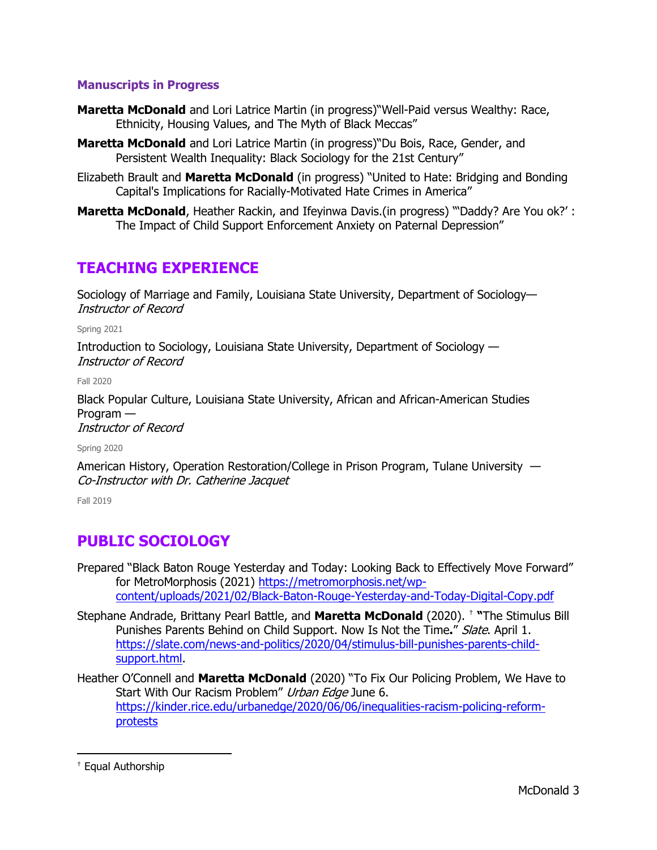## **Manuscripts in Progress**

- **Maretta McDonald** and Lori Latrice Martin (in progress)"Well-Paid versus Wealthy: Race, Ethnicity, Housing Values, and The Myth of Black Meccas"
- **Maretta McDonald** and Lori Latrice Martin (in progress)"Du Bois, Race, Gender, and Persistent Wealth Inequality: Black Sociology for the 21st Century"
- Elizabeth Brault and **Maretta McDonald** (in progress) "United to Hate: Bridging and Bonding Capital's Implications for Racially-Motivated Hate Crimes in America"
- **Maretta McDonald**, Heather Rackin, and Ifeyinwa Davis.(in progress) "Daddy? Are You ok?' : The Impact of Child Support Enforcement Anxiety on Paternal Depression"

# **TEACHING EXPERIENCE**

Sociology of Marriage and Family, Louisiana State University, Department of Sociology— Instructor of Record

Spring 2021

Introduction to Sociology, Louisiana State University, Department of Sociology — Instructor of Record

Fall 2020

Black Popular Culture, Louisiana State University, African and African-American Studies Program —

Instructor of Record

Spring 2020

American History, Operation Restoration/College in Prison Program, Tulane University — Co-Instructor with Dr. Catherine Jacquet

Fall 2019

# **PUBLIC SOCIOLOGY**

- Prepared "Black Baton Rouge Yesterday and Today: Looking Back to Effectively Move Forward" for MetroMorphosis (2021) [https://metromorphosis.net/wp](https://metromorphosis.net/wp-content/uploads/2021/02/Black-Baton-Rouge-Yesterday-and-Today-Digital-Copy.pdf)[content/uploads/2021/02/Black-Baton-Rouge-Yesterday-and-Today-Digital-Copy.pdf](https://metromorphosis.net/wp-content/uploads/2021/02/Black-Baton-Rouge-Yesterday-and-Today-Digital-Copy.pdf)
- Stephane Andrade, Brittany Pearl Battle, and **Maretta McDonald** (2020). [†](#page-2-0) **"**The Stimulus Bill Punishes Parents Behind on Child Support. Now Is Not the Time**.**" Slate. April 1. [https://slate.com/news-and-politics/2020/04/stimulus-bill-punishes-parents-child](https://slate.com/news-and-politics/2020/04/stimulus-bill-punishes-parents-child-support.html)[support.html.](https://slate.com/news-and-politics/2020/04/stimulus-bill-punishes-parents-child-support.html)
- Heather O'Connell and **Maretta McDonald** (2020) "To Fix Our Policing Problem, We Have to Start With Our Racism Problem" Urban Edge June 6. [https://kinder.rice.edu/urbanedge/2020/06/06/inequalities-racism-policing-reform](https://kinder.rice.edu/urbanedge/2020/06/06/inequalities-racism-policing-reform-protests)[protests](https://kinder.rice.edu/urbanedge/2020/06/06/inequalities-racism-policing-reform-protests)

<span id="page-2-0"></span><sup>†</sup> Equal Authorship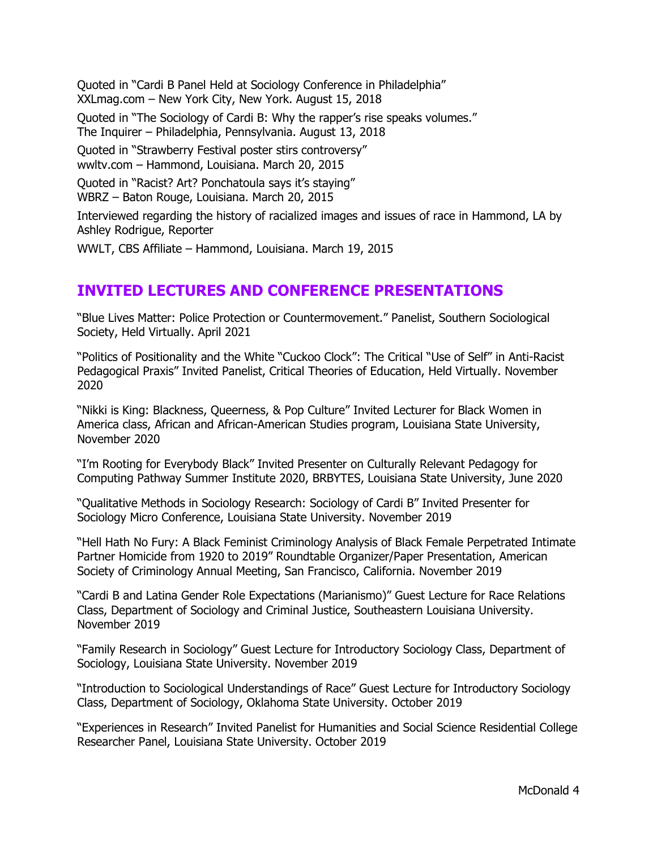Quoted in "Cardi B Panel Held at Sociology Conference in Philadelphia" XXLmag.com – New York City, New York. August 15, 2018

Quoted in "The Sociology of Cardi B: Why the rapper's rise speaks volumes." The Inquirer – Philadelphia, Pennsylvania. August 13, 2018

Quoted in "Strawberry Festival poster stirs controversy" wwltv.com – Hammond, Louisiana. March 20, 2015

Quoted in "Racist? Art? Ponchatoula says it's staying" WBRZ – Baton Rouge, Louisiana. March 20, 2015

Interviewed regarding the history of racialized images and issues of race in Hammond, LA by Ashley Rodrigue, Reporter

WWLT, CBS Affiliate – Hammond, Louisiana. March 19, 2015

# **INVITED LECTURES AND CONFERENCE PRESENTATIONS**

"Blue Lives Matter: Police Protection or Countermovement." Panelist, Southern Sociological Society, Held Virtually. April 2021

"Politics of Positionality and the White "Cuckoo Clock": The Critical "Use of Self" in Anti-Racist Pedagogical Praxis" Invited Panelist, Critical Theories of Education, Held Virtually. November 2020

"Nikki is King: Blackness, Queerness, & Pop Culture" Invited Lecturer for Black Women in America class, African and African-American Studies program, Louisiana State University, November 2020

"I'm Rooting for Everybody Black" Invited Presenter on Culturally Relevant Pedagogy for Computing Pathway Summer Institute 2020, BRBYTES, Louisiana State University, June 2020

"Qualitative Methods in Sociology Research: Sociology of Cardi B" Invited Presenter for Sociology Micro Conference, Louisiana State University. November 2019

"Hell Hath No Fury: A Black Feminist Criminology Analysis of Black Female Perpetrated Intimate Partner Homicide from 1920 to 2019" Roundtable Organizer/Paper Presentation, American Society of Criminology Annual Meeting, San Francisco, California. November 2019

"Cardi B and Latina Gender Role Expectations (Marianismo)" Guest Lecture for Race Relations Class, Department of Sociology and Criminal Justice, Southeastern Louisiana University. November 2019

"Family Research in Sociology" Guest Lecture for Introductory Sociology Class, Department of Sociology, Louisiana State University. November 2019

"Introduction to Sociological Understandings of Race" Guest Lecture for Introductory Sociology Class, Department of Sociology, Oklahoma State University. October 2019

"Experiences in Research" Invited Panelist for Humanities and Social Science Residential College Researcher Panel, Louisiana State University. October 2019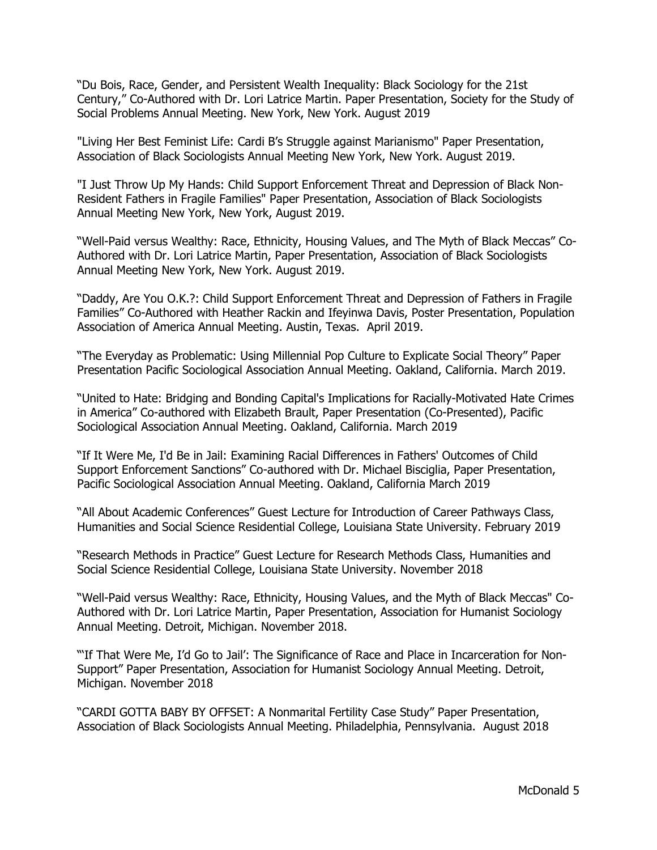"Du Bois, Race, Gender, and Persistent Wealth Inequality: Black Sociology for the 21st Century," Co-Authored with Dr. Lori Latrice Martin. Paper Presentation, Society for the Study of Social Problems Annual Meeting. New York, New York. August 2019

"Living Her Best Feminist Life: Cardi B's Struggle against Marianismo" Paper Presentation, Association of Black Sociologists Annual Meeting New York, New York. August 2019.

"I Just Throw Up My Hands: Child Support Enforcement Threat and Depression of Black Non-Resident Fathers in Fragile Families" Paper Presentation, Association of Black Sociologists Annual Meeting New York, New York, August 2019.

"Well-Paid versus Wealthy: Race, Ethnicity, Housing Values, and The Myth of Black Meccas" Co-Authored with Dr. Lori Latrice Martin, Paper Presentation, Association of Black Sociologists Annual Meeting New York, New York. August 2019.

"Daddy, Are You O.K.?: Child Support Enforcement Threat and Depression of Fathers in Fragile Families" Co-Authored with Heather Rackin and Ifeyinwa Davis, Poster Presentation, Population Association of America Annual Meeting. Austin, Texas. April 2019.

"The Everyday as Problematic: Using Millennial Pop Culture to Explicate Social Theory" Paper Presentation Pacific Sociological Association Annual Meeting. Oakland, California. March 2019.

"United to Hate: Bridging and Bonding Capital's Implications for Racially-Motivated Hate Crimes in America" Co-authored with Elizabeth Brault, Paper Presentation (Co-Presented), Pacific Sociological Association Annual Meeting. Oakland, California. March 2019

"If It Were Me, I'd Be in Jail: Examining Racial Differences in Fathers' Outcomes of Child Support Enforcement Sanctions" Co-authored with Dr. Michael Bisciglia, Paper Presentation, Pacific Sociological Association Annual Meeting. Oakland, California March 2019

"All About Academic Conferences" Guest Lecture for Introduction of Career Pathways Class, Humanities and Social Science Residential College, Louisiana State University. February 2019

"Research Methods in Practice" Guest Lecture for Research Methods Class, Humanities and Social Science Residential College, Louisiana State University. November 2018

"Well-Paid versus Wealthy: Race, Ethnicity, Housing Values, and the Myth of Black Meccas" Co-Authored with Dr. Lori Latrice Martin, Paper Presentation, Association for Humanist Sociology Annual Meeting. Detroit, Michigan. November 2018.

"If That Were Me, I'd Go to Jail': The Significance of Race and Place in Incarceration for Non-Support" Paper Presentation, Association for Humanist Sociology Annual Meeting. Detroit, Michigan. November 2018

"CARDI GOTTA BABY BY OFFSET: A Nonmarital Fertility Case Study" Paper Presentation, Association of Black Sociologists Annual Meeting. Philadelphia, Pennsylvania. August 2018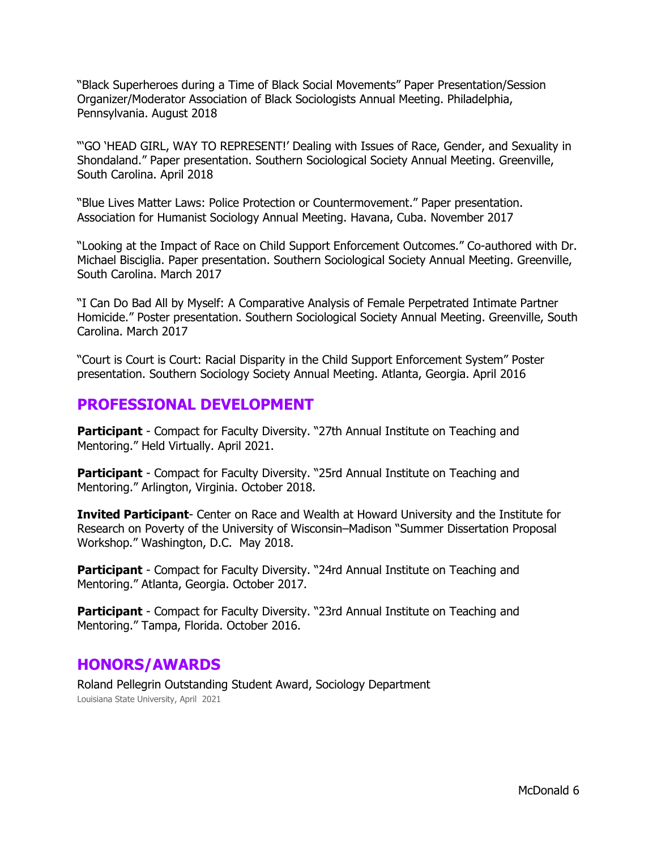"Black Superheroes during a Time of Black Social Movements" Paper Presentation/Session Organizer/Moderator Association of Black Sociologists Annual Meeting. Philadelphia, Pennsylvania. August 2018

"'GO 'HEAD GIRL, WAY TO REPRESENT!' Dealing with Issues of Race, Gender, and Sexuality in Shondaland." Paper presentation. Southern Sociological Society Annual Meeting. Greenville, South Carolina. April 2018

"Blue Lives Matter Laws: Police Protection or Countermovement." Paper presentation. Association for Humanist Sociology Annual Meeting. Havana, Cuba. November 2017

"Looking at the Impact of Race on Child Support Enforcement Outcomes." Co-authored with Dr. Michael Bisciglia. Paper presentation. Southern Sociological Society Annual Meeting. Greenville, South Carolina. March 2017

"I Can Do Bad All by Myself: A Comparative Analysis of Female Perpetrated Intimate Partner Homicide." Poster presentation. Southern Sociological Society Annual Meeting. Greenville, South Carolina. March 2017

"Court is Court is Court: Racial Disparity in the Child Support Enforcement System" Poster presentation. Southern Sociology Society Annual Meeting. Atlanta, Georgia. April 2016

## **PROFESSIONAL DEVELOPMENT**

**Participant** - Compact for Faculty Diversity. "27th Annual Institute on Teaching and Mentoring." Held Virtually. April 2021.

**Participant** - Compact for Faculty Diversity. "25rd Annual Institute on Teaching and Mentoring." Arlington, Virginia. October 2018.

**Invited Participant**- Center on Race and Wealth at Howard University and the Institute for Research on Poverty of the University of Wisconsin–Madison "Summer Dissertation Proposal Workshop." Washington, D.C. May 2018.

**Participant** - Compact for Faculty Diversity. "24rd Annual Institute on Teaching and Mentoring." Atlanta, Georgia. October 2017.

**Participant** - Compact for Faculty Diversity. "23rd Annual Institute on Teaching and Mentoring." Tampa, Florida. October 2016.

## **HONORS/AWARDS**

Roland Pellegrin Outstanding Student Award, Sociology Department Louisiana State University, April 2021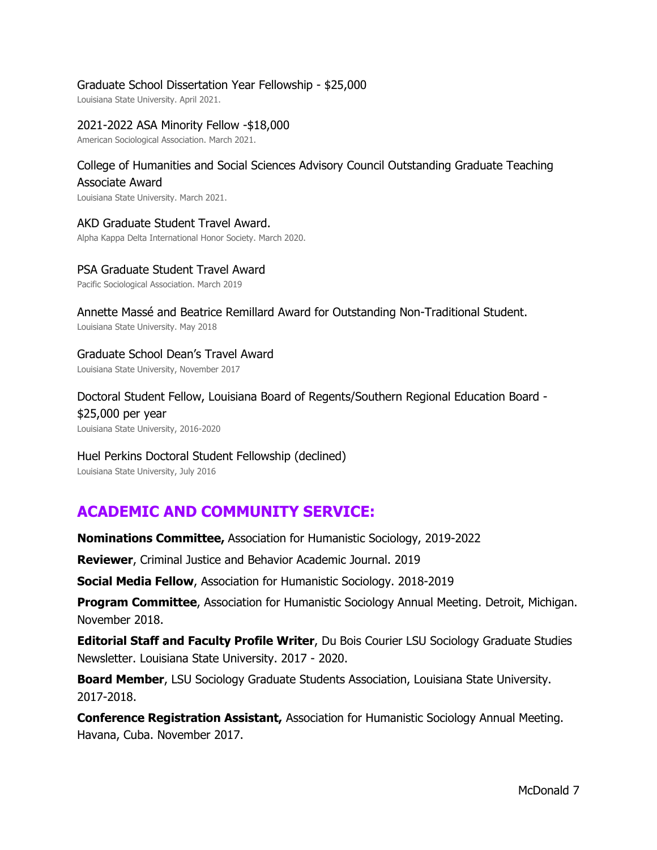### Graduate School Dissertation Year Fellowship - \$25,000

Louisiana State University. April 2021.

#### 2021-2022 ASA Minority Fellow -\$18,000

American Sociological Association. March 2021.

## College of Humanities and Social Sciences Advisory Council Outstanding Graduate Teaching Associate Award

Louisiana State University. March 2021.

#### AKD Graduate Student Travel Award.

Alpha Kappa Delta International Honor Society. March 2020.

#### PSA Graduate Student Travel Award

Pacific Sociological Association. March 2019

Annette Massé and Beatrice Remillard Award for Outstanding Non-Traditional Student. Louisiana State University. May 2018

Graduate School Dean's Travel Award Louisiana State University, November 2017

Doctoral Student Fellow, Louisiana Board of Regents/Southern Regional Education Board - \$25,000 per year Louisiana State University, 2016-2020

## Huel Perkins Doctoral Student Fellowship (declined)

Louisiana State University, July 2016

## **ACADEMIC AND COMMUNITY SERVICE:**

**Nominations Committee,** Association for Humanistic Sociology, 2019-2022

**Reviewer**, Criminal Justice and Behavior Academic Journal. 2019

**Social Media Fellow**, Association for Humanistic Sociology. 2018-2019

**Program Committee**, Association for Humanistic Sociology Annual Meeting. Detroit, Michigan. November 2018.

**Editorial Staff and Faculty Profile Writer**, Du Bois Courier LSU Sociology Graduate Studies Newsletter. Louisiana State University. 2017 - 2020.

**Board Member**, LSU Sociology Graduate Students Association, Louisiana State University. 2017-2018.

**Conference Registration Assistant,** Association for Humanistic Sociology Annual Meeting. Havana, Cuba. November 2017.